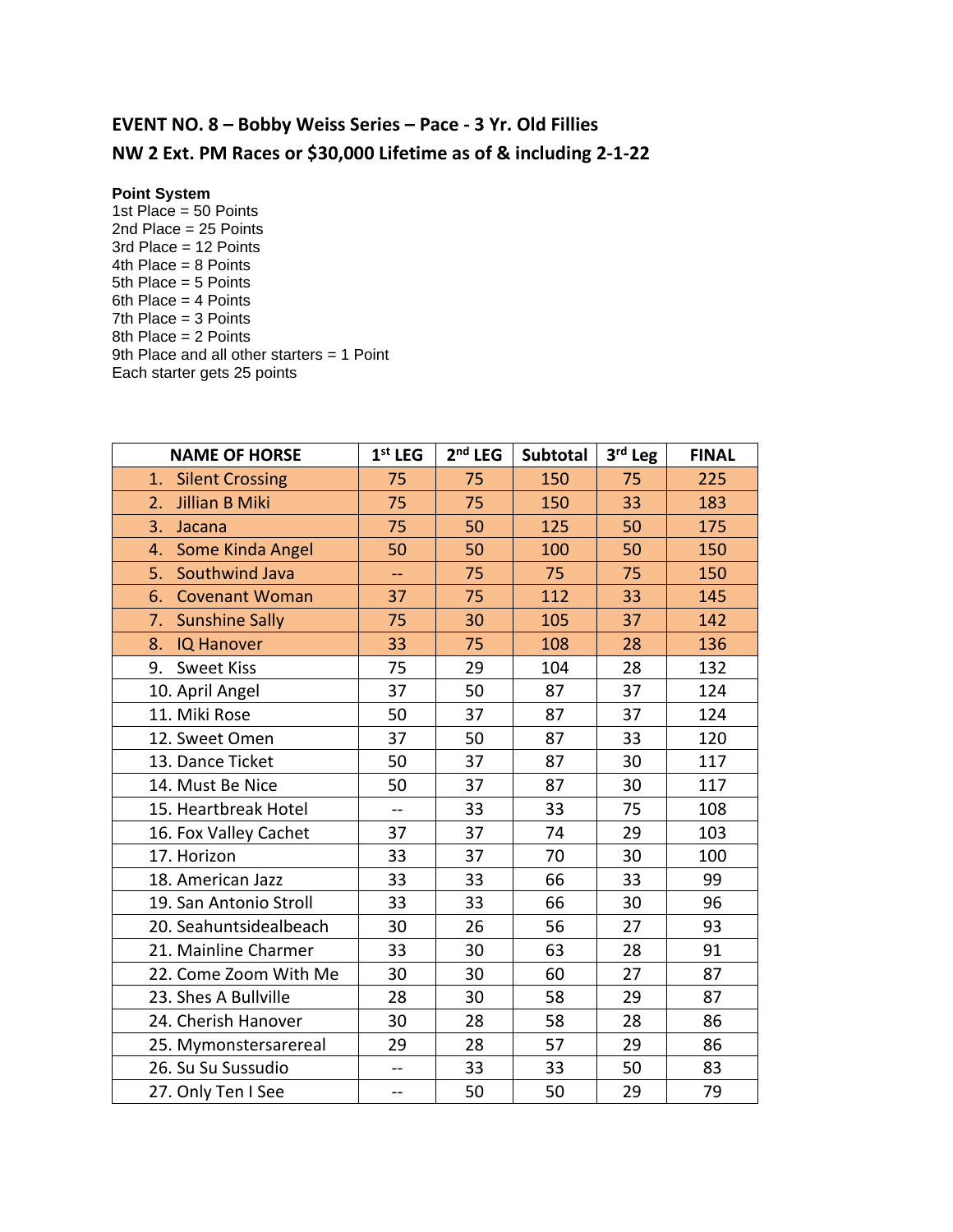## **EVENT NO. 8 – Bobby Weiss Series – Pace - 3 Yr. Old Fillies NW 2 Ext. PM Races or \$30,000 Lifetime as of & including 2-1-22**

## **Point System**

1st Place = 50 Points 2nd Place = 25 Points 3rd Place = 12 Points 4th Place = 8 Points 5th Place = 5 Points 6th Place = 4 Points 7th Place = 3 Points 8th Place = 2 Points 9th Place and all other starters = 1 Point Each starter gets 25 points

| <b>NAME OF HORSE</b>         | $1st$ LEG      | $2nd$ LEG | <b>Subtotal</b> | 3rd Leg | <b>FINAL</b> |
|------------------------------|----------------|-----------|-----------------|---------|--------------|
| <b>Silent Crossing</b><br>1. | 75             | 75        | 150             | 75      | 225          |
| Jillian B Miki<br>2.         | 75             | 75        | 150             | 33      | 183          |
| 3.<br>Jacana                 | 75             | 50        | 125             | 50      | 175          |
| Some Kinda Angel<br>4.       | 50             | 50        | 100             | 50      | 150          |
| 5.<br>Southwind Java         | 44             | 75        | 75              | 75      | 150          |
| 6.<br><b>Covenant Woman</b>  | 37             | 75        | 112             | 33      | 145          |
| <b>Sunshine Sally</b><br>7.  | 75             | 30        | 105             | 37      | 142          |
| 8.<br><b>IQ Hanover</b>      | 33             | 75        | 108             | 28      | 136          |
| <b>Sweet Kiss</b><br>9.      | 75             | 29        | 104             | 28      | 132          |
| 10. April Angel              | 37             | 50        | 87              | 37      | 124          |
| 11. Miki Rose                | 50             | 37        | 87              | 37      | 124          |
| 12. Sweet Omen               | 37             | 50        | 87              | 33      | 120          |
| 13. Dance Ticket             | 50             | 37        | 87              | 30      | 117          |
| 14. Must Be Nice             | 50             | 37        | 87              | 30      | 117          |
| 15. Heartbreak Hotel         | $-$            | 33        | 33              | 75      | 108          |
| 16. Fox Valley Cachet        | 37             | 37        | 74              | 29      | 103          |
| 17. Horizon                  | 33             | 37        | 70              | 30      | 100          |
| 18. American Jazz            | 33             | 33        | 66              | 33      | 99           |
| 19. San Antonio Stroll       | 33             | 33        | 66              | 30      | 96           |
| 20. Seahuntsidealbeach       | 30             | 26        | 56              | 27      | 93           |
| 21. Mainline Charmer         | 33             | 30        | 63              | 28      | 91           |
| 22. Come Zoom With Me        | 30             | 30        | 60              | 27      | 87           |
| 23. Shes A Bullville         | 28             | 30        | 58              | 29      | 87           |
| 24. Cherish Hanover          | 30             | 28        | 58              | 28      | 86           |
| 25. Mymonstersarereal        | 29             | 28        | 57              | 29      | 86           |
| 26. Su Su Sussudio           | --             | 33        | 33              | 50      | 83           |
| 27. Only Ten I See           | $\overline{a}$ | 50        | 50              | 29      | 79           |